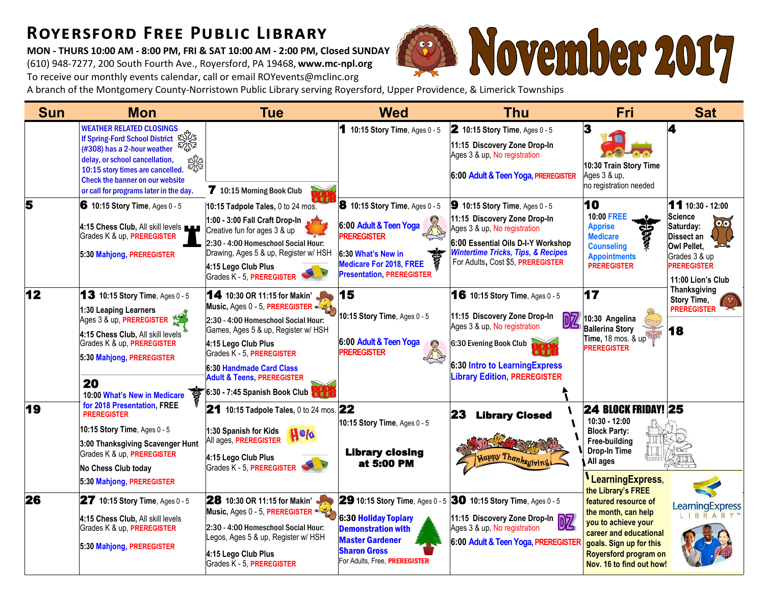## **Royersford Free Public Library**

**MON - THURS 10:00 AM - 8:00 PM, FRI & SAT 10:00 AM - 2:00 PM, Closed SUNDAY** (610) 948-7277, 200 South Fourth Ave., Royersford, PA 19468, **www.mc-npl.org** To receive our monthly events calendar, call or email ROYevents@mclinc.org



A branch of the Montgomery County-Norristown Public Library serving Royersford, Upper Providence, & Limerick Townships

| <b>Sun</b> | <b>Mon</b>                                                                                                                                                                                                                                                   | <b>Tue</b>                                                                                                                                                                                                                                                                                               | <b>Wed</b>                                                                                                                                                                           | <b>Thu</b>                                                                                                                                                                                                                          | Fri                                                                                                                                                                                                                    | <b>Sat</b>                                                                                                                                            |
|------------|--------------------------------------------------------------------------------------------------------------------------------------------------------------------------------------------------------------------------------------------------------------|----------------------------------------------------------------------------------------------------------------------------------------------------------------------------------------------------------------------------------------------------------------------------------------------------------|--------------------------------------------------------------------------------------------------------------------------------------------------------------------------------------|-------------------------------------------------------------------------------------------------------------------------------------------------------------------------------------------------------------------------------------|------------------------------------------------------------------------------------------------------------------------------------------------------------------------------------------------------------------------|-------------------------------------------------------------------------------------------------------------------------------------------------------|
|            | <b>WEATHER RELATED CLOSINGS</b><br>If Spring-Ford School District S<br>(#308) has a 2-hour weather<br>delay, or school cancellation,<br>10:15 story times are cancelled.<br><b>Check the banner on our website</b><br>or call for programs later in the day. | 7 10:15 Morning Book Club                                                                                                                                                                                                                                                                                | 1 10:15 Story Time, Ages 0 - 5                                                                                                                                                       | 2 10:15 Story Time, Ages 0 - 5<br>11:15 Discovery Zone Drop-In<br>Ages 3 & up, No registration<br>6:00 Adult & Teen Yoga, PREREGISTER                                                                                               | 3<br>10:30 Train Story Time<br>Ages 3 & up,<br>no registration needed                                                                                                                                                  | 4                                                                                                                                                     |
| 5          | 6 10:15 Story Time, Ages 0 - 5<br>4:15 Chess Club, All skill levels<br>Grades K & up, PREREGISTER<br>5:30 Mahjong, PREREGISTER                                                                                                                               | 10:15 Tadpole Tales, 0 to 24 mos.<br>1:00 - 3:00 Fall Craft Drop-In<br>Creative fun for ages 3 & up<br>2:30 - 4:00 Homeschool Social Hour:<br>Drawing, Ages 5 & up, Register w/ HSH<br>4:15 Lego Club Plus<br>Grades K - 5, PREREGISTER                                                                  | 8 10:15 Story Time, Ages 0 - 5<br>6:00 Adult & Teen Yoga<br><b>PREREGISTER</b><br>6:30 What's New in<br><b>Medicare For 2018, FREE</b><br><b>Presentation, PREREGISTER</b>           | <b>9</b> 10:15 Story Time, Ages $0 - 5$<br>11:15 Discovery Zone Drop-In<br>Ages 3 & up, No registration<br>6:00 Essential Oils D-I-Y Workshop<br><b>Wintertime Tricks, Tips, &amp; Recipes</b><br>For Adults, Cost \$5, PREREGISTER | 10<br>10:00 FREE<br><b>Apprise</b><br><b>Medicare</b><br><b>Counseling</b><br><b>Appointments</b><br><b>PREREGISTER</b>                                                                                                | $11$ 10:30 - 12:00<br><b>Science</b><br>$\odot$<br>Saturday:<br>Dissect an<br>Owl Pellet,<br>Grades 3 & up<br><b>PREREGISTER</b><br>11:00 Lion's Club |
| 12         | <b>13</b> 10:15 Story Time, Ages 0 - 5<br>1:30 Leaping Learners<br>Ages 3 & up, PREREGISTER 19<br>4:15 Chess Club, All skill levels<br>Grades K & up, PREREGISTER<br>5:30 Mahjong, PREREGISTER<br>20<br>री<br>10:00 What's New in Medicare                   | 14 10:30 OR 11:15 for Makin'<br>Music, Ages 0 - 5, PREREGISTER<br>2:30 - 4:00 Homeschool Social Hour:<br>Games, Ages 5 & up, Register w/ HSH<br>4:15 Lego Club Plus<br>Grades K - 5, PREREGISTER<br>6:30 Handmade Card Class<br><b>Adult &amp; Teens, PREREGISTER</b><br>$6:30 - 7:45$ Spanish Book Club | 15<br>10:15 Story Time, Ages 0 - 5<br>6:00 Adult & Teen Yoga<br><b>PREREGISTER</b>                                                                                                   | <b>16</b> 10:15 Story Time, Ages 0 - 5<br>11:15 Discovery Zone Drop-In<br>DZ<br>Ages 3 & up, No registration<br>6:30 Evening Book Club<br>6:30 Intro to Learning Express<br><b>Library Edition, PREREGISTER</b>                     | 17<br>10:30 Angelina<br><b>Ballerina Story</b><br>Time, 18 mos. & up<br><b>PREREGISTER</b>                                                                                                                             | Thanksgiving<br>Story Time,<br><b>PREREGISTER</b><br>18                                                                                               |
| 19         | for 2018 Presentation, FREE<br><b>PREREGISTER</b><br>10:15 Story Time, Ages 0 - 5<br>3:00 Thanksgiving Scavenger Hunt<br>Grades K & up, PREREGISTER<br>No Chess Club today                                                                                   | 21 10:15 Tadpole Tales, 0 to 24 mos. $22$<br>1:30 Spanish for Kids<br><b>H</b> old<br>All ages, PREREGISTER<br>4:15 Lego Club Plus<br>Grades K - 5, PREREGISTER                                                                                                                                          | 10:15 Story Time, Ages 0 - 5<br><b>Library closing</b><br>at 5:00 PM                                                                                                                 | 23<br><b>Library Closed</b><br>Happy Thanksgivi                                                                                                                                                                                     | <b>24 BLOCK FRIDAY! 25</b><br>10:30 - 12:00<br><b>Block Party:</b><br>Free-building<br>Drop-In Time<br>All ages                                                                                                        |                                                                                                                                                       |
| 26         | 5:30 Mahjong, PREREGISTER<br><b>27</b> 10:15 Story Time, Ages 0 - 5<br>4:15 Chess Club, All skill levels<br>Grades K & up, PREREGISTER<br>5:30 Mahjong, PREREGISTER                                                                                          | <b>28</b> 10:30 OR 11:15 for Makin'<br>Music, Ages 0 - 5, PREREGISTER<br>2:30 - 4:00 Homeschool Social Hour:<br>Legos, Ages 5 & up, Register w/ HSH<br>4:15 Lego Club Plus<br>Grades K - 5, PREREGISTER                                                                                                  | <b>29 10:15 Story Time, Ages 0 - 5</b><br><b>6:30 Holiday Topiary</b><br><b>Demonstration with</b><br><b>Master Gardener</b><br><b>Sharon Gross</b><br>For Adults, Free, PREREGISTER | 30 10:15 Story Time, Ages 0 - 5<br>11:15 Discovery Zone Drop-In<br>Ages 3 & up, No registration<br>6:00 Adult & Teen Yoga, PREREGISTER                                                                                              | LearningExpress,<br>the Library's FREE<br>featured resource of<br>the month, can help<br>you to achieve your<br>career and educational<br>goals. Sign up for this<br>Royersford program on<br>Nov. 16 to find out how! | earning Express                                                                                                                                       |